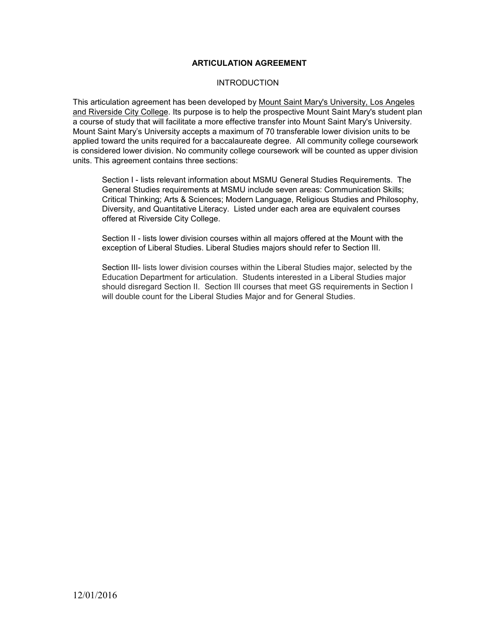### **ARTICULATION AGREEMENT**

#### **INTRODUCTION**

This articulation agreement has been developed by Mount Saint Mary's University, Los Angeles and Riverside City College. Its purpose is to help the prospective Mount Saint Mary's student plan a course of study that will facilitate a more effective transfer into Mount Saint Mary's University. Mount Saint Mary's University accepts a maximum of 70 transferable lower division units to be applied toward the units required for a baccalaureate degree. All community college coursework is considered lower division. No community college coursework will be counted as upper division units. This agreement contains three sections:

Section I - lists relevant information about MSMU General Studies Requirements. The General Studies requirements at MSMU include seven areas: Communication Skills; Critical Thinking; Arts & Sciences; Modern Language, Religious Studies and Philosophy, Diversity, and Quantitative Literacy. Listed under each area are equivalent courses offered at Riverside City College.

Section II - lists lower division courses within all majors offered at the Mount with the exception of Liberal Studies. Liberal Studies majors should refer to Section III.

Section III- lists lower division courses within the Liberal Studies major, selected by the Education Department for articulation. Students interested in a Liberal Studies major should disregard Section II. Section III courses that meet GS requirements in Section I will double count for the Liberal Studies Major and for General Studies.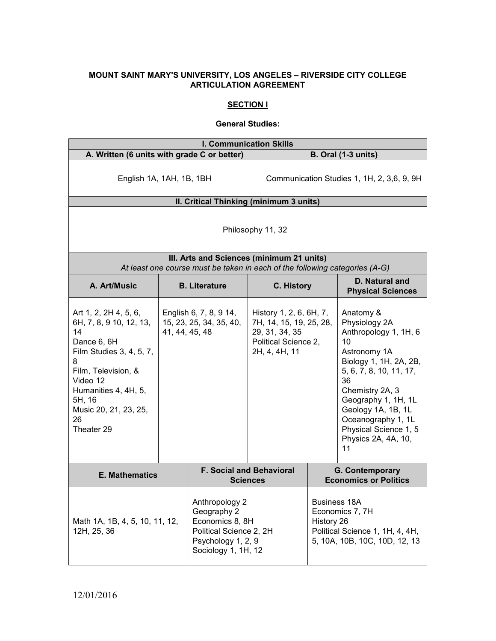## **MOUNT SAINT MARY'S UNIVERSITY, LOS ANGELES – RIVERSIDE CITY COLLEGE ARTICULATION AGREEMENT**

# **SECTION I**

#### **General Studies:**

| <b>I. Communication Skills</b>                                                                                                                                                                                           |                |                                                                                                                          |                                                                                                               |                                            |                                                                                                                                                                                                                                                                                  |
|--------------------------------------------------------------------------------------------------------------------------------------------------------------------------------------------------------------------------|----------------|--------------------------------------------------------------------------------------------------------------------------|---------------------------------------------------------------------------------------------------------------|--------------------------------------------|----------------------------------------------------------------------------------------------------------------------------------------------------------------------------------------------------------------------------------------------------------------------------------|
| A. Written (6 units with grade C or better)                                                                                                                                                                              |                |                                                                                                                          |                                                                                                               | <b>B. Oral (1-3 units)</b>                 |                                                                                                                                                                                                                                                                                  |
| English 1A, 1AH, 1B, 1BH                                                                                                                                                                                                 |                |                                                                                                                          |                                                                                                               | Communication Studies 1, 1H, 2, 3,6, 9, 9H |                                                                                                                                                                                                                                                                                  |
|                                                                                                                                                                                                                          |                | II. Critical Thinking (minimum 3 units)                                                                                  |                                                                                                               |                                            |                                                                                                                                                                                                                                                                                  |
| Philosophy 11, 32                                                                                                                                                                                                        |                |                                                                                                                          |                                                                                                               |                                            |                                                                                                                                                                                                                                                                                  |
|                                                                                                                                                                                                                          |                | III. Arts and Sciences (minimum 21 units)<br>At least one course must be taken in each of the following categories (A-G) |                                                                                                               |                                            |                                                                                                                                                                                                                                                                                  |
| A. Art/Music                                                                                                                                                                                                             |                | <b>B.</b> Literature                                                                                                     | <b>C. History</b>                                                                                             |                                            | D. Natural and<br><b>Physical Sciences</b>                                                                                                                                                                                                                                       |
| Art 1, 2, 2H 4, 5, 6,<br>6H, 7, 8, 9 10, 12, 13,<br>14<br>Dance 6, 6H<br>Film Studies 3, 4, 5, 7,<br>8<br>Film, Television, &<br>Video 12<br>Humanities 4, 4H, 5,<br>5H, 16<br>Music 20, 21, 23, 25,<br>26<br>Theater 29 | 41, 44, 45, 48 | English 6, 7, 8, 9 14,<br>15, 23, 25, 34, 35, 40,                                                                        | History 1, 2, 6, 6H, 7,<br>7H, 14, 15, 19, 25, 28,<br>29, 31, 34, 35<br>Political Science 2,<br>2H, 4, 4H, 11 |                                            | Anatomy &<br>Physiology 2A<br>Anthropology 1, 1H, 6<br>10<br>Astronomy 1A<br>Biology 1, 1H, 2A, 2B,<br>5, 6, 7, 8, 10, 11, 17,<br>36<br>Chemistry 2A, 3<br>Geography 1, 1H, 1L<br>Geology 1A, 1B, 1L<br>Oceanography 1, 1L<br>Physical Science 1, 5<br>Physics 2A, 4A, 10,<br>11 |
| <b>E. Mathematics</b>                                                                                                                                                                                                    |                |                                                                                                                          | <b>F. Social and Behavioral</b><br><b>Sciences</b>                                                            |                                            | G. Contemporary<br><b>Economics or Politics</b>                                                                                                                                                                                                                                  |
| Math 1A, 1B, 4, 5, 10, 11, 12,<br>12H, 25, 36                                                                                                                                                                            |                | Anthropology 2<br>Geography 2<br>Economics 8, 8H<br>Political Science 2, 2H<br>Psychology 1, 2, 9<br>Sociology 1, 1H, 12 |                                                                                                               | History 26                                 | <b>Business 18A</b><br>Economics 7, 7H<br>Political Science 1, 1H, 4, 4H,<br>5, 10A, 10B, 10C, 10D, 12, 13                                                                                                                                                                       |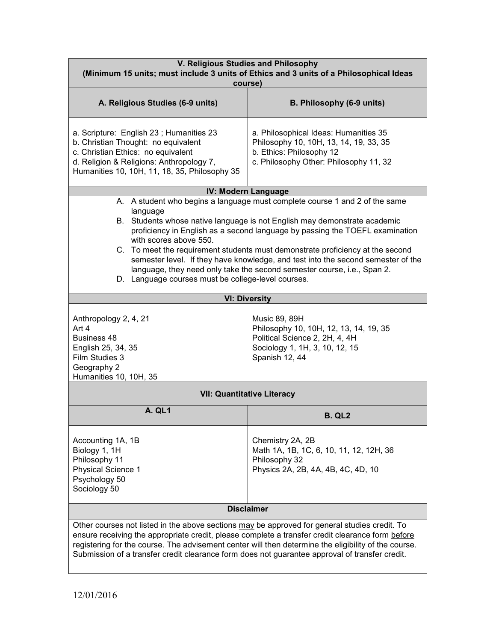| V. Religious Studies and Philosophy<br>(Minimum 15 units; must include 3 units of Ethics and 3 units of a Philosophical Ideas<br>course)                                                                                                                                                                                                                                                                                                                                                                                                                                              |                                                                                                                                                       |  |  |
|---------------------------------------------------------------------------------------------------------------------------------------------------------------------------------------------------------------------------------------------------------------------------------------------------------------------------------------------------------------------------------------------------------------------------------------------------------------------------------------------------------------------------------------------------------------------------------------|-------------------------------------------------------------------------------------------------------------------------------------------------------|--|--|
| A. Religious Studies (6-9 units)                                                                                                                                                                                                                                                                                                                                                                                                                                                                                                                                                      | B. Philosophy (6-9 units)                                                                                                                             |  |  |
| a. Scripture: English 23; Humanities 23<br>b. Christian Thought: no equivalent<br>c. Christian Ethics: no equivalent<br>d. Religion & Religions: Anthropology 7,<br>Humanities 10, 10H, 11, 18, 35, Philosophy 35                                                                                                                                                                                                                                                                                                                                                                     | a. Philosophical Ideas: Humanities 35<br>Philosophy 10, 10H, 13, 14, 19, 33, 35<br>b. Ethics: Philosophy 12<br>c. Philosophy Other: Philosophy 11, 32 |  |  |
|                                                                                                                                                                                                                                                                                                                                                                                                                                                                                                                                                                                       | IV: Modern Language                                                                                                                                   |  |  |
| A. A student who begins a language must complete course 1 and 2 of the same<br>language<br>B. Students whose native language is not English may demonstrate academic<br>proficiency in English as a second language by passing the TOEFL examination<br>with scores above 550.<br>C. To meet the requirement students must demonstrate proficiency at the second<br>semester level. If they have knowledge, and test into the second semester of the<br>language, they need only take the second semester course, i.e., Span 2.<br>D. Language courses must be college-level courses. |                                                                                                                                                       |  |  |
|                                                                                                                                                                                                                                                                                                                                                                                                                                                                                                                                                                                       | <b>VI: Diversity</b>                                                                                                                                  |  |  |
| Anthropology 2, 4, 21<br>Art 4<br><b>Business 48</b><br>English 25, 34, 35<br>Film Studies 3<br>Geography 2<br>Humanities 10, 10H, 35                                                                                                                                                                                                                                                                                                                                                                                                                                                 | Music 89, 89H<br>Philosophy 10, 10H, 12, 13, 14, 19, 35<br>Political Science 2, 2H, 4, 4H<br>Sociology 1, 1H, 3, 10, 12, 15<br>Spanish 12, 44         |  |  |
|                                                                                                                                                                                                                                                                                                                                                                                                                                                                                                                                                                                       | <b>VII: Quantitative Literacy</b>                                                                                                                     |  |  |
| <b>A. QL1</b>                                                                                                                                                                                                                                                                                                                                                                                                                                                                                                                                                                         | <b>B. QL2</b>                                                                                                                                         |  |  |
| Accounting 1A, 1B<br>Biology 1, 1H<br>Philosophy 11<br><b>Physical Science 1</b><br>Psychology 50<br>Sociology 50                                                                                                                                                                                                                                                                                                                                                                                                                                                                     | Chemistry 2A, 2B<br>Math 1A, 1B, 1C, 6, 10, 11, 12, 12H, 36<br>Philosophy 32<br>Physics 2A, 2B, 4A, 4B, 4C, 4D, 10                                    |  |  |
|                                                                                                                                                                                                                                                                                                                                                                                                                                                                                                                                                                                       | <b>Disclaimer</b>                                                                                                                                     |  |  |
| Other courses not listed in the above sections may be approved for general studies credit. To<br>ensure receiving the appropriate credit, please complete a transfer credit clearance form before<br>registering for the course. The advisement center will then determine the eligibility of the course.<br>Submission of a transfer credit clearance form does not guarantee approval of transfer credit.                                                                                                                                                                           |                                                                                                                                                       |  |  |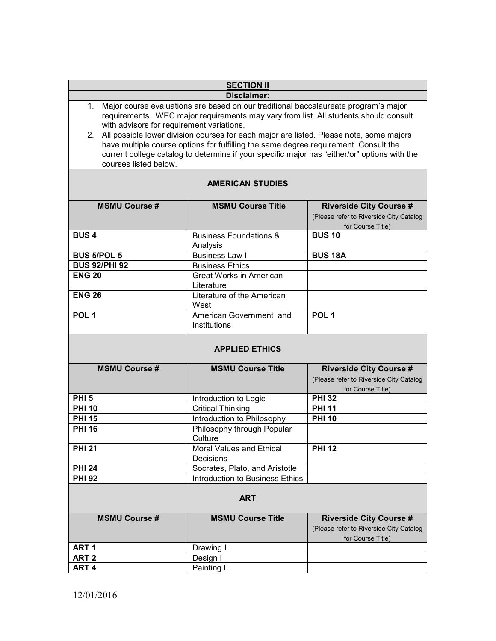| <b>SECTION II</b>           |                                                                                                                                                                                                                                                                                                                                                                                                                                                                                                                |                                                                                                |
|-----------------------------|----------------------------------------------------------------------------------------------------------------------------------------------------------------------------------------------------------------------------------------------------------------------------------------------------------------------------------------------------------------------------------------------------------------------------------------------------------------------------------------------------------------|------------------------------------------------------------------------------------------------|
| <b>Disclaimer:</b>          |                                                                                                                                                                                                                                                                                                                                                                                                                                                                                                                |                                                                                                |
| 1.<br>courses listed below. | Major course evaluations are based on our traditional baccalaureate program's major<br>requirements. WEC major requirements may vary from list. All students should consult<br>with advisors for requirement variations.<br>2. All possible lower division courses for each major are listed. Please note, some majors<br>have multiple course options for fulfilling the same degree requirement. Consult the<br>current college catalog to determine if your specific major has "either/or" options with the |                                                                                                |
| <b>AMERICAN STUDIES</b>     |                                                                                                                                                                                                                                                                                                                                                                                                                                                                                                                |                                                                                                |
| <b>MSMU Course #</b>        | <b>MSMU Course Title</b>                                                                                                                                                                                                                                                                                                                                                                                                                                                                                       | <b>Riverside City Course #</b><br>(Please refer to Riverside City Catalog<br>for Course Title) |
| <b>BUS4</b>                 | <b>Business Foundations &amp;</b><br>Analysis                                                                                                                                                                                                                                                                                                                                                                                                                                                                  | <b>BUS 10</b>                                                                                  |
| <b>BUS 5/POL 5</b>          | <b>Business Law I</b>                                                                                                                                                                                                                                                                                                                                                                                                                                                                                          | <b>BUS 18A</b>                                                                                 |
| <b>BUS 92/PHI 92</b>        | <b>Business Ethics</b>                                                                                                                                                                                                                                                                                                                                                                                                                                                                                         |                                                                                                |
| <b>ENG 20</b>               | Great Works in American<br>Literature                                                                                                                                                                                                                                                                                                                                                                                                                                                                          |                                                                                                |
| <b>ENG 26</b>               | Literature of the American<br>West                                                                                                                                                                                                                                                                                                                                                                                                                                                                             |                                                                                                |
| POL <sub>1</sub>            | American Government and<br>Institutions                                                                                                                                                                                                                                                                                                                                                                                                                                                                        | POL <sub>1</sub>                                                                               |
|                             | <b>APPLIED ETHICS</b>                                                                                                                                                                                                                                                                                                                                                                                                                                                                                          |                                                                                                |
| <b>MSMU Course#</b>         | <b>MSMU Course Title</b>                                                                                                                                                                                                                                                                                                                                                                                                                                                                                       | <b>Riverside City Course #</b><br>(Please refer to Riverside City Catalog<br>for Course Title) |
| PHI <sub>5</sub>            | Introduction to Logic                                                                                                                                                                                                                                                                                                                                                                                                                                                                                          | <b>PHI 32</b>                                                                                  |
| <b>PHI 10</b>               | <b>Critical Thinking</b>                                                                                                                                                                                                                                                                                                                                                                                                                                                                                       | <b>PHI 11</b>                                                                                  |
| <b>PHI 15</b>               | Introduction to Philosophy                                                                                                                                                                                                                                                                                                                                                                                                                                                                                     | <b>PHI 10</b>                                                                                  |
| <b>PHI 16</b>               | Philosophy through Popular<br>Culture                                                                                                                                                                                                                                                                                                                                                                                                                                                                          |                                                                                                |
| <b>PHI 21</b>               | <b>Moral Values and Ethical</b><br>Decisions                                                                                                                                                                                                                                                                                                                                                                                                                                                                   | <b>PHI 12</b>                                                                                  |
| <b>PHI 24</b>               | Socrates, Plato, and Aristotle                                                                                                                                                                                                                                                                                                                                                                                                                                                                                 |                                                                                                |
| <b>PHI 92</b>               | Introduction to Business Ethics                                                                                                                                                                                                                                                                                                                                                                                                                                                                                |                                                                                                |
|                             | <b>ART</b>                                                                                                                                                                                                                                                                                                                                                                                                                                                                                                     |                                                                                                |
| <b>MSMU Course #</b>        | <b>MSMU Course Title</b>                                                                                                                                                                                                                                                                                                                                                                                                                                                                                       | <b>Riverside City Course #</b><br>(Please refer to Riverside City Catalog<br>for Course Title) |
| ART <sub>1</sub>            | Drawing I                                                                                                                                                                                                                                                                                                                                                                                                                                                                                                      |                                                                                                |
| ART <sub>2</sub>            | Design I                                                                                                                                                                                                                                                                                                                                                                                                                                                                                                       |                                                                                                |
| ART <sub>4</sub>            | Painting I                                                                                                                                                                                                                                                                                                                                                                                                                                                                                                     |                                                                                                |
|                             |                                                                                                                                                                                                                                                                                                                                                                                                                                                                                                                |                                                                                                |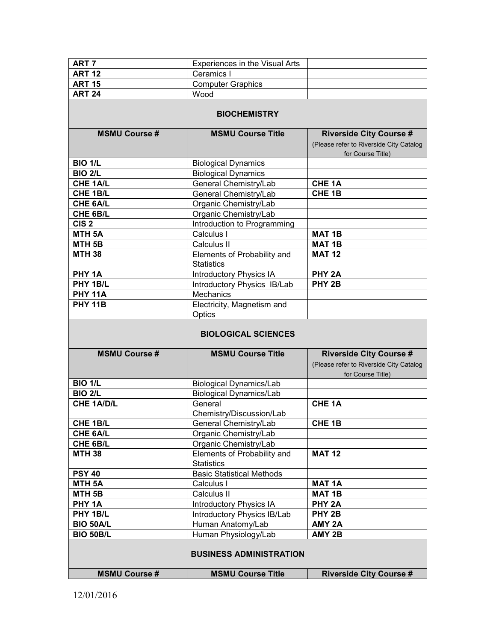| ART <sub>7</sub>           | Experiences in the Visual Arts                                                     |                                                                                                |  |  |
|----------------------------|------------------------------------------------------------------------------------|------------------------------------------------------------------------------------------------|--|--|
| <b>ART 12</b>              | Ceramics I                                                                         |                                                                                                |  |  |
| <b>ART 15</b>              | <b>Computer Graphics</b>                                                           |                                                                                                |  |  |
| <b>ART 24</b>              | Wood                                                                               |                                                                                                |  |  |
|                            |                                                                                    |                                                                                                |  |  |
| <b>BIOCHEMISTRY</b>        |                                                                                    |                                                                                                |  |  |
| <b>MSMU Course #</b>       | <b>MSMU Course Title</b>                                                           | <b>Riverside City Course #</b><br>(Please refer to Riverside City Catalog<br>for Course Title) |  |  |
| <b>BIO 1/L</b>             | <b>Biological Dynamics</b>                                                         |                                                                                                |  |  |
| <b>BIO 2/L</b>             | <b>Biological Dynamics</b>                                                         |                                                                                                |  |  |
| CHE 1A/L                   | General Chemistry/Lab                                                              | CHE <sub>1A</sub>                                                                              |  |  |
| CHE 1B/L                   | General Chemistry/Lab                                                              | CHE <sub>1B</sub>                                                                              |  |  |
| CHE 6A/L                   | Organic Chemistry/Lab                                                              |                                                                                                |  |  |
| CHE 6B/L                   | Organic Chemistry/Lab                                                              |                                                                                                |  |  |
| CIS <sub>2</sub>           | Introduction to Programming                                                        |                                                                                                |  |  |
| MTH <sub>5A</sub>          | Calculus I                                                                         | <b>MAT 1B</b>                                                                                  |  |  |
| MTH <sub>5B</sub>          | Calculus II                                                                        | <b>MAT1B</b>                                                                                   |  |  |
| <b>MTH 38</b>              | Elements of Probability and<br><b>Statistics</b>                                   | <b>MAT 12</b>                                                                                  |  |  |
| PHY 1A                     | <b>Introductory Physics IA</b>                                                     | PHY <sub>2A</sub>                                                                              |  |  |
| PHY 1B/L                   | Introductory Physics IB/Lab                                                        | PHY <sub>2B</sub>                                                                              |  |  |
| <b>PHY 11A</b>             | <b>Mechanics</b>                                                                   |                                                                                                |  |  |
| <b>PHY 11B</b>             | Electricity, Magnetism and                                                         |                                                                                                |  |  |
|                            | Optics                                                                             |                                                                                                |  |  |
| <b>BIOLOGICAL SCIENCES</b> |                                                                                    |                                                                                                |  |  |
|                            |                                                                                    |                                                                                                |  |  |
| <b>MSMU Course #</b>       | <b>MSMU Course Title</b>                                                           | <b>Riverside City Course #</b><br>(Please refer to Riverside City Catalog<br>for Course Title) |  |  |
| <b>BIO 1/L</b>             | <b>Biological Dynamics/Lab</b>                                                     |                                                                                                |  |  |
| <b>BIO 2/L</b>             | <b>Biological Dynamics/Lab</b>                                                     |                                                                                                |  |  |
| <b>CHE 1A/D/L</b>          | General<br>Chemistry/Discussion/Lab                                                | CHE <sub>1A</sub>                                                                              |  |  |
| CHE 1B/L                   | General Chemistry/Lab                                                              | CHE <sub>1B</sub>                                                                              |  |  |
| CHE 6A/L                   | Organic Chemistry/Lab                                                              |                                                                                                |  |  |
| CHE 6B/L                   |                                                                                    |                                                                                                |  |  |
| <b>MTH 38</b>              | Organic Chemistry/Lab<br>Elements of Probability and<br><b>Statistics</b>          | <b>MAT 12</b>                                                                                  |  |  |
| <b>PSY 40</b>              | <b>Basic Statistical Methods</b>                                                   |                                                                                                |  |  |
| MTH <sub>5A</sub>          | Calculus I                                                                         | <b>MAT 1A</b>                                                                                  |  |  |
| MTH <sub>5B</sub>          | Calculus II                                                                        | <b>MAT 1B</b>                                                                                  |  |  |
| PHY <sub>1A</sub>          | <b>Introductory Physics IA</b>                                                     | PHY <sub>2A</sub>                                                                              |  |  |
| PHY 1B/L                   |                                                                                    | PHY <sub>2B</sub>                                                                              |  |  |
| BIO 50A/L                  | Introductory Physics IB/Lab<br>Human Anatomy/Lab                                   | AMY <sub>2A</sub>                                                                              |  |  |
| <b>BIO 50B/L</b>           |                                                                                    | AMY 2B                                                                                         |  |  |
| <b>MSMU Course #</b>       | Human Physiology/Lab<br><b>BUSINESS ADMINISTRATION</b><br><b>MSMU Course Title</b> | <b>Riverside City Course #</b>                                                                 |  |  |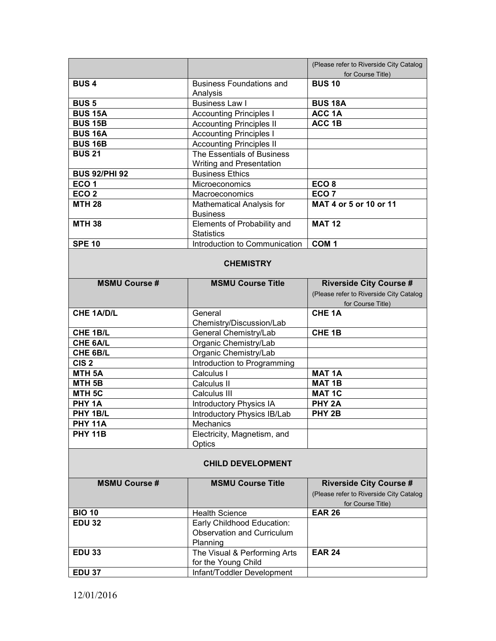|                          |                                                                             | (Please refer to Riverside City Catalog<br>for Course Title)                                   |  |
|--------------------------|-----------------------------------------------------------------------------|------------------------------------------------------------------------------------------------|--|
| <b>BUS4</b>              | <b>Business Foundations and</b><br>Analysis                                 | <b>BUS 10</b>                                                                                  |  |
| <b>BUS5</b>              | <b>Business Law I</b>                                                       | <b>BUS 18A</b>                                                                                 |  |
| <b>BUS 15A</b>           | <b>Accounting Principles I</b>                                              | ACC 1A                                                                                         |  |
| <b>BUS 15B</b>           | <b>Accounting Principles II</b>                                             | ACC 1B                                                                                         |  |
| <b>BUS 16A</b>           | <b>Accounting Principles I</b>                                              |                                                                                                |  |
| <b>BUS 16B</b>           | <b>Accounting Principles II</b>                                             |                                                                                                |  |
| <b>BUS 21</b>            | The Essentials of Business                                                  |                                                                                                |  |
|                          | <b>Writing and Presentation</b>                                             |                                                                                                |  |
| <b>BUS 92/PHI 92</b>     | <b>Business Ethics</b>                                                      |                                                                                                |  |
| ECO <sub>1</sub>         | Microeconomics                                                              | ECO <sub>8</sub>                                                                               |  |
| ECO <sub>2</sub>         | Macroeconomics                                                              | ECO <sub>7</sub>                                                                               |  |
| <b>MTH 28</b>            | Mathematical Analysis for<br><b>Business</b>                                | MAT 4 or 5 or 10 or 11                                                                         |  |
| <b>MTH 38</b>            | Elements of Probability and                                                 | <b>MAT 12</b>                                                                                  |  |
|                          | <b>Statistics</b>                                                           |                                                                                                |  |
| <b>SPE 10</b>            | Introduction to Communication                                               | COM <sub>1</sub>                                                                               |  |
|                          | <b>CHEMISTRY</b>                                                            |                                                                                                |  |
| <b>MSMU Course #</b>     | <b>MSMU Course Title</b>                                                    | <b>Riverside City Course #</b><br>(Please refer to Riverside City Catalog<br>for Course Title) |  |
| <b>CHE 1A/D/L</b>        | General                                                                     | CHE <sub>1A</sub>                                                                              |  |
|                          | Chemistry/Discussion/Lab                                                    |                                                                                                |  |
| CHE 1B/L                 | General Chemistry/Lab                                                       | CHE <sub>1B</sub>                                                                              |  |
| CHE 6A/L                 | Organic Chemistry/Lab                                                       |                                                                                                |  |
| CHE 6B/L                 | Organic Chemistry/Lab                                                       |                                                                                                |  |
| CIS <sub>2</sub>         | Introduction to Programming                                                 |                                                                                                |  |
| MTH <sub>5A</sub>        | Calculus I                                                                  | <b>MAT 1A</b>                                                                                  |  |
| MTH <sub>5B</sub>        | Calculus II                                                                 | <b>MAT 1B</b>                                                                                  |  |
| MTH <sub>5C</sub>        | Calculus III                                                                | <b>MAT 1C</b>                                                                                  |  |
| PHY 1A                   | <b>Introductory Physics IA</b>                                              | PHY <sub>2A</sub>                                                                              |  |
| PHY 1B/L                 | Introductory Physics IB/Lab                                                 | PHY <sub>2B</sub>                                                                              |  |
| <b>PHY 11A</b>           | Mechanics                                                                   |                                                                                                |  |
| <b>PHY 11B</b>           | Electricity, Magnetism, and<br>Optics                                       |                                                                                                |  |
| <b>CHILD DEVELOPMENT</b> |                                                                             |                                                                                                |  |
| <b>MSMU Course #</b>     | <b>MSMU Course Title</b>                                                    | <b>Riverside City Course #</b>                                                                 |  |
|                          |                                                                             | (Please refer to Riverside City Catalog<br>for Course Title)                                   |  |
| <b>BIO 10</b>            | <b>Health Science</b>                                                       | <b>EAR 26</b>                                                                                  |  |
| <b>EDU 32</b>            | Early Childhood Education:<br><b>Observation and Curriculum</b><br>Planning |                                                                                                |  |
| <b>EDU 33</b>            | The Visual & Performing Arts<br>for the Young Child                         | <b>EAR 24</b>                                                                                  |  |
| <b>EDU 37</b>            | Infant/Toddler Development                                                  |                                                                                                |  |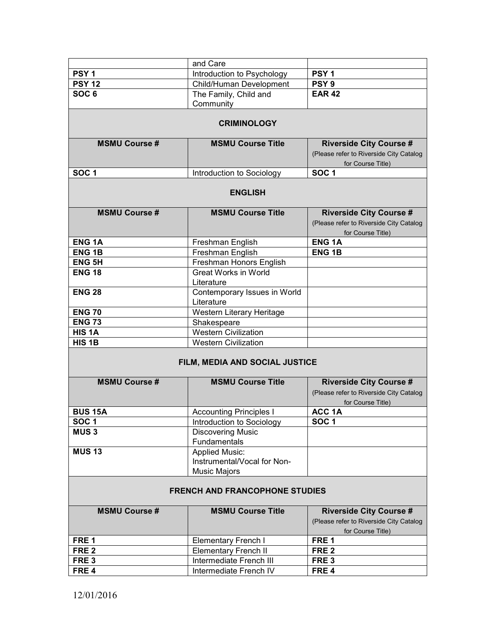|                                       | and Care                       |                                         |  |
|---------------------------------------|--------------------------------|-----------------------------------------|--|
| PSY <sub>1</sub>                      | Introduction to Psychology     | PSY <sub>1</sub>                        |  |
| <b>PSY 12</b>                         | Child/Human Development        | PSY <sub>9</sub>                        |  |
| SOC <sub>6</sub>                      | The Family, Child and          | <b>EAR 42</b>                           |  |
|                                       | Community                      |                                         |  |
|                                       |                                |                                         |  |
|                                       | <b>CRIMINOLOGY</b>             |                                         |  |
| <b>MSMU Course #</b>                  | <b>MSMU Course Title</b>       | <b>Riverside City Course #</b>          |  |
|                                       |                                | (Please refer to Riverside City Catalog |  |
|                                       |                                | for Course Title)                       |  |
| SOC <sub>1</sub>                      | Introduction to Sociology      | SOC <sub>1</sub>                        |  |
|                                       | <b>ENGLISH</b>                 |                                         |  |
| <b>MSMU Course #</b>                  | <b>MSMU Course Title</b>       | <b>Riverside City Course #</b>          |  |
|                                       |                                | (Please refer to Riverside City Catalog |  |
|                                       |                                | for Course Title)                       |  |
| <b>ENG1A</b>                          | Freshman English               | <b>ENG1A</b>                            |  |
| <b>ENG1B</b>                          | Freshman English               | <b>ENG1B</b>                            |  |
| <b>ENG 5H</b>                         | Freshman Honors English        |                                         |  |
| <b>ENG 18</b>                         | <b>Great Works in World</b>    |                                         |  |
|                                       | Literature                     |                                         |  |
| <b>ENG 28</b>                         | Contemporary Issues in World   |                                         |  |
|                                       | Literature                     |                                         |  |
| <b>ENG 70</b>                         | Western Literary Heritage      |                                         |  |
| <b>ENG 73</b>                         | Shakespeare                    |                                         |  |
| HIS <sub>1</sub> A                    | <b>Western Civilization</b>    |                                         |  |
| HIS <sub>1B</sub>                     | <b>Western Civilization</b>    |                                         |  |
|                                       | FILM, MEDIA AND SOCIAL JUSTICE |                                         |  |
| <b>MSMU Course #</b>                  | <b>MSMU Course Title</b>       | <b>Riverside City Course #</b>          |  |
|                                       |                                | (Please refer to Riverside City Catalog |  |
|                                       |                                | for Course Title)                       |  |
| <b>BUS 15A</b>                        | <b>Accounting Principles I</b> | ACC 1A                                  |  |
| SOC <sub>1</sub>                      | Introduction to Sociology      | SOC <sub>1</sub>                        |  |
| <b>MUS3</b>                           | <b>Discovering Music</b>       |                                         |  |
|                                       | Fundamentals                   |                                         |  |
| <b>MUS 13</b>                         | <b>Applied Music:</b>          |                                         |  |
|                                       | Instrumental/Vocal for Non-    |                                         |  |
|                                       | <b>Music Majors</b>            |                                         |  |
| <b>FRENCH AND FRANCOPHONE STUDIES</b> |                                |                                         |  |
| <b>MSMU Course#</b>                   | <b>MSMU Course Title</b>       | <b>Riverside City Course #</b>          |  |
|                                       |                                | (Please refer to Riverside City Catalog |  |
|                                       |                                | for Course Title)                       |  |
| FRE <sub>1</sub>                      | <b>Elementary French I</b>     | FRE <sub>1</sub>                        |  |
| FRE <sub>2</sub>                      | <b>Elementary French II</b>    | FRE <sub>2</sub>                        |  |
| FRE <sub>3</sub>                      | Intermediate French III        | FRE <sub>3</sub>                        |  |
| FRE <sub>4</sub>                      | Intermediate French IV         | FRE <sub>4</sub>                        |  |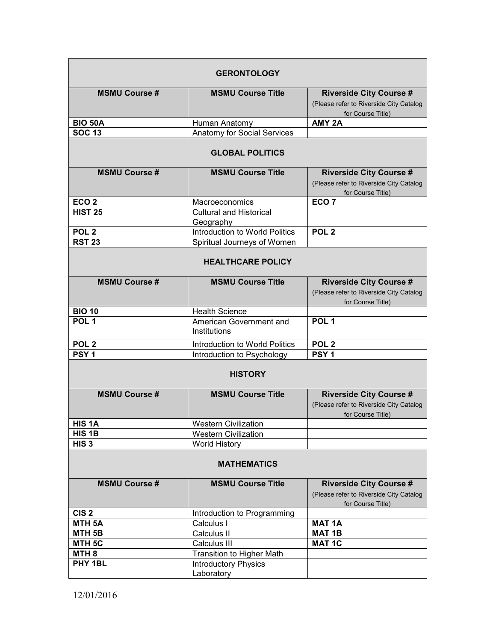| <b>GERONTOLOGY</b>       |                                             |                                                                                                |  |  |
|--------------------------|---------------------------------------------|------------------------------------------------------------------------------------------------|--|--|
| <b>MSMU Course#</b>      | <b>MSMU Course Title</b>                    | <b>Riverside City Course #</b><br>(Please refer to Riverside City Catalog<br>for Course Title) |  |  |
| <b>BIO 50A</b>           | Human Anatomy                               | AMY <sub>2A</sub>                                                                              |  |  |
| <b>SOC 13</b>            | Anatomy for Social Services                 |                                                                                                |  |  |
|                          | <b>GLOBAL POLITICS</b>                      |                                                                                                |  |  |
| <b>MSMU Course#</b>      | <b>MSMU Course Title</b>                    | <b>Riverside City Course #</b><br>(Please refer to Riverside City Catalog<br>for Course Title) |  |  |
| ECO <sub>2</sub>         | Macroeconomics                              | ECO <sub>7</sub>                                                                               |  |  |
| <b>HIST 25</b>           | <b>Cultural and Historical</b><br>Geography |                                                                                                |  |  |
| POL <sub>2</sub>         | Introduction to World Politics              | POL <sub>2</sub>                                                                               |  |  |
| <b>RST 23</b>            | Spiritual Journeys of Women                 |                                                                                                |  |  |
| <b>HEALTHCARE POLICY</b> |                                             |                                                                                                |  |  |
| <b>MSMU Course #</b>     | <b>MSMU Course Title</b>                    | <b>Riverside City Course #</b><br>(Please refer to Riverside City Catalog<br>for Course Title) |  |  |
| <b>BIO 10</b>            | <b>Health Science</b>                       |                                                                                                |  |  |
| POL <sub>1</sub>         | American Government and<br>Institutions     | POL <sub>1</sub>                                                                               |  |  |
| POL <sub>2</sub>         | Introduction to World Politics              | POL <sub>2</sub>                                                                               |  |  |
| PSY <sub>1</sub>         | Introduction to Psychology                  | PSY <sub>1</sub>                                                                               |  |  |
| <b>HISTORY</b>           |                                             |                                                                                                |  |  |
| <b>MSMU Course#</b>      | <b>MSMU Course Title</b>                    | <b>Riverside City Course #</b><br>(Please refer to Riverside City Catalog<br>for Course Title) |  |  |
| <b>HIS 1A</b>            | Western Civilization                        |                                                                                                |  |  |
| HIS 1B                   | <b>Western Civilization</b>                 |                                                                                                |  |  |
| HIS <sub>3</sub>         | <b>World History</b>                        |                                                                                                |  |  |
| <b>MATHEMATICS</b>       |                                             |                                                                                                |  |  |
| <b>MSMU Course#</b>      | <b>MSMU Course Title</b>                    | <b>Riverside City Course #</b><br>(Please refer to Riverside City Catalog<br>for Course Title) |  |  |
| CIS <sub>2</sub>         | Introduction to Programming                 |                                                                                                |  |  |
| MTH <sub>5A</sub>        | Calculus I                                  | <b>MAT 1A</b>                                                                                  |  |  |
| MTH <sub>5B</sub>        | Calculus II                                 | <b>MAT 1B</b>                                                                                  |  |  |
| MTH <sub>5C</sub>        | Calculus III                                | <b>MAT 1C</b>                                                                                  |  |  |
| MTH <sub>8</sub>         | Transition to Higher Math                   |                                                                                                |  |  |
| PHY 1BL                  | <b>Introductory Physics</b><br>Laboratory   |                                                                                                |  |  |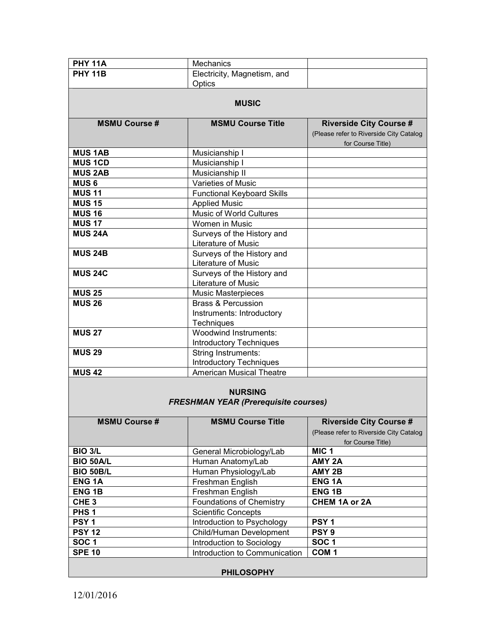| <b>PHY 11A</b>       | <b>Mechanics</b>                                                  |                                         |  |
|----------------------|-------------------------------------------------------------------|-----------------------------------------|--|
| <b>PHY 11B</b>       | Electricity, Magnetism, and                                       |                                         |  |
|                      | Optics                                                            |                                         |  |
|                      |                                                                   |                                         |  |
|                      | <b>MUSIC</b>                                                      |                                         |  |
|                      |                                                                   |                                         |  |
| <b>MSMU Course#</b>  | <b>MSMU Course Title</b>                                          | <b>Riverside City Course #</b>          |  |
|                      |                                                                   | (Please refer to Riverside City Catalog |  |
|                      |                                                                   | for Course Title)                       |  |
| <b>MUS 1AB</b>       | Musicianship I                                                    |                                         |  |
| <b>MUS 1CD</b>       | Musicianship I                                                    |                                         |  |
| <b>MUS 2AB</b>       | Musicianship II                                                   |                                         |  |
| <b>MUS6</b>          | Varieties of Music                                                |                                         |  |
| <b>MUS 11</b>        | <b>Functional Keyboard Skills</b>                                 |                                         |  |
| <b>MUS 15</b>        | <b>Applied Music</b>                                              |                                         |  |
| <b>MUS 16</b>        | Music of World Cultures                                           |                                         |  |
| <b>MUS 17</b>        | Women in Music                                                    |                                         |  |
| <b>MUS 24A</b>       | Surveys of the History and                                        |                                         |  |
|                      | Literature of Music                                               |                                         |  |
| <b>MUS 24B</b>       | Surveys of the History and                                        |                                         |  |
|                      | Literature of Music                                               |                                         |  |
| <b>MUS 24C</b>       | Surveys of the History and                                        |                                         |  |
|                      | Literature of Music                                               |                                         |  |
| <b>MUS 25</b>        | <b>Music Masterpieces</b>                                         |                                         |  |
| <b>MUS 26</b>        | <b>Brass &amp; Percussion</b>                                     |                                         |  |
|                      | Instruments: Introductory                                         |                                         |  |
|                      | Techniques                                                        |                                         |  |
| <b>MUS 27</b>        | Woodwind Instruments:                                             |                                         |  |
|                      | <b>Introductory Techniques</b>                                    |                                         |  |
| <b>MUS 29</b>        | String Instruments:                                               |                                         |  |
| <b>MUS42</b>         | <b>Introductory Techniques</b><br><b>American Musical Theatre</b> |                                         |  |
|                      |                                                                   |                                         |  |
|                      |                                                                   |                                         |  |
|                      | <b>NURSING</b><br><b>FRESHMAN YEAR (Prerequisite courses)</b>     |                                         |  |
|                      |                                                                   |                                         |  |
| <b>MSMU Course #</b> | <b>MSMU Course Title</b>                                          | <b>Riverside City Course #</b>          |  |
|                      |                                                                   | (Please refer to Riverside City Catalog |  |
|                      |                                                                   | for Course Title)                       |  |
| <b>BIO 3/L</b>       | General Microbiology/Lab                                          | MIC <sub>1</sub>                        |  |
| <b>BIO 50A/L</b>     | Human Anatomy/Lab                                                 | AMY <sub>2A</sub>                       |  |
| <b>BIO 50B/L</b>     | Human Physiology/Lab                                              | AMY 2B                                  |  |
| <b>ENG1A</b>         | Freshman English                                                  | <b>ENG1A</b>                            |  |
| <b>ENG1B</b>         | Freshman English                                                  | <b>ENG1B</b>                            |  |
| CHE <sub>3</sub>     | <b>Foundations of Chemistry</b>                                   | CHEM 1A or 2A                           |  |
| PHS <sub>1</sub>     | <b>Scientific Concepts</b>                                        |                                         |  |
| PSY <sub>1</sub>     | Introduction to Psychology                                        | PSY <sub>1</sub>                        |  |
| <b>PSY 12</b>        | Child/Human Development                                           | PSY <sub>9</sub>                        |  |
| SOC <sub>1</sub>     | Introduction to Sociology                                         | SOC <sub>1</sub>                        |  |
| <b>SPE 10</b>        | Introduction to Communication                                     | COM <sub>1</sub>                        |  |
|                      |                                                                   |                                         |  |
| <b>PHILOSOPHY</b>    |                                                                   |                                         |  |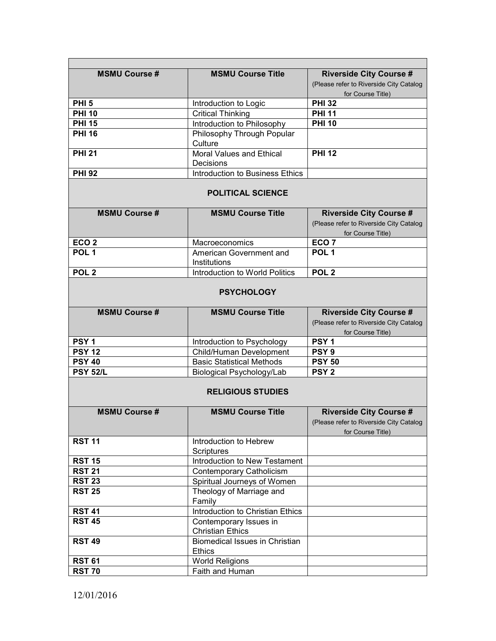| <b>MSMU Course #</b>     | <b>MSMU Course Title</b>                               | <b>Riverside City Course #</b>                                                                 |  |  |
|--------------------------|--------------------------------------------------------|------------------------------------------------------------------------------------------------|--|--|
|                          |                                                        | (Please refer to Riverside City Catalog                                                        |  |  |
| <b>PHI 5</b>             |                                                        | for Course Title)<br><b>PHI 32</b>                                                             |  |  |
| <b>PHI 10</b>            | Introduction to Logic                                  | <b>PHI 11</b>                                                                                  |  |  |
| <b>PHI 15</b>            | <b>Critical Thinking</b>                               | <b>PHI 10</b>                                                                                  |  |  |
| <b>PHI 16</b>            | Introduction to Philosophy                             |                                                                                                |  |  |
|                          | Philosophy Through Popular<br>Culture                  |                                                                                                |  |  |
| <b>PHI 21</b>            | <b>Moral Values and Ethical</b>                        | <b>PHI 12</b>                                                                                  |  |  |
|                          | Decisions                                              |                                                                                                |  |  |
| <b>PHI 92</b>            | Introduction to Business Ethics                        |                                                                                                |  |  |
|                          | <b>POLITICAL SCIENCE</b>                               |                                                                                                |  |  |
| <b>MSMU Course#</b>      | <b>MSMU Course Title</b>                               | <b>Riverside City Course #</b><br>(Please refer to Riverside City Catalog<br>for Course Title) |  |  |
| ECO <sub>2</sub>         | Macroeconomics                                         | ECO <sub>7</sub>                                                                               |  |  |
| POL <sub>1</sub>         | American Government and<br>Institutions                | POL <sub>1</sub>                                                                               |  |  |
| POL <sub>2</sub>         | Introduction to World Politics                         | POL <sub>2</sub>                                                                               |  |  |
|                          |                                                        |                                                                                                |  |  |
| <b>PSYCHOLOGY</b>        |                                                        |                                                                                                |  |  |
| <b>MSMU Course #</b>     | <b>MSMU Course Title</b>                               | <b>Riverside City Course #</b>                                                                 |  |  |
|                          |                                                        | (Please refer to Riverside City Catalog                                                        |  |  |
|                          |                                                        | for Course Title)                                                                              |  |  |
| PSY <sub>1</sub>         | Introduction to Psychology                             | PSY <sub>1</sub>                                                                               |  |  |
| <b>PSY 12</b>            | Child/Human Development                                | PSY <sub>9</sub>                                                                               |  |  |
| <b>PSY 40</b>            | <b>Basic Statistical Methods</b>                       | <b>PSY 50</b>                                                                                  |  |  |
| <b>PSY 52/L</b>          | Biological Psychology/Lab                              | <b>PSY 2</b>                                                                                   |  |  |
| <b>RELIGIOUS STUDIES</b> |                                                        |                                                                                                |  |  |
| <b>MSMU Course #</b>     | <b>MSMU Course Title</b>                               | <b>Riverside City Course #</b>                                                                 |  |  |
|                          |                                                        | (Please refer to Riverside City Catalog<br>for Course Title)                                   |  |  |
| <b>RST 11</b>            | Introduction to Hebrew<br>Scriptures                   |                                                                                                |  |  |
| <b>RST 15</b>            | Introduction to New Testament                          |                                                                                                |  |  |
| <b>RST 21</b>            | Contemporary Catholicism                               |                                                                                                |  |  |
| <b>RST 23</b>            | Spiritual Journeys of Women                            |                                                                                                |  |  |
| <b>RST 25</b>            | Theology of Marriage and<br>Family                     |                                                                                                |  |  |
| <b>RST 41</b>            | Introduction to Christian Ethics                       |                                                                                                |  |  |
| <b>RST 45</b>            | Contemporary Issues in                                 |                                                                                                |  |  |
|                          | <b>Christian Ethics</b>                                |                                                                                                |  |  |
| <b>RST 49</b>            | <b>Biomedical Issues in Christian</b><br><b>Ethics</b> |                                                                                                |  |  |
| <b>RST 61</b>            | <b>World Religions</b>                                 |                                                                                                |  |  |
| <b>RST 70</b>            | Faith and Human                                        |                                                                                                |  |  |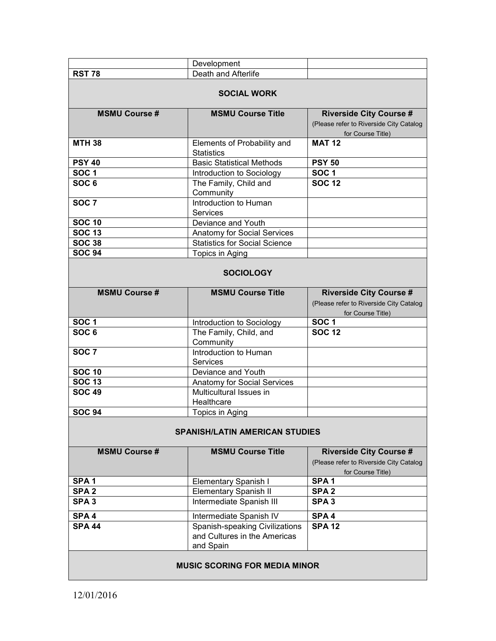|                      | Development                           |                                                              |  |  |
|----------------------|---------------------------------------|--------------------------------------------------------------|--|--|
| <b>RST 78</b>        | Death and Afterlife                   |                                                              |  |  |
|                      |                                       |                                                              |  |  |
| <b>SOCIAL WORK</b>   |                                       |                                                              |  |  |
| <b>MSMU Course#</b>  | <b>MSMU Course Title</b>              | <b>Riverside City Course #</b>                               |  |  |
|                      |                                       | (Please refer to Riverside City Catalog                      |  |  |
|                      |                                       | for Course Title)                                            |  |  |
| <b>MTH 38</b>        | Elements of Probability and           | <b>MAT 12</b>                                                |  |  |
|                      | <b>Statistics</b>                     |                                                              |  |  |
| <b>PSY 40</b>        | <b>Basic Statistical Methods</b>      | <b>PSY 50</b>                                                |  |  |
| SOC <sub>1</sub>     | Introduction to Sociology             | <b>SOC1</b>                                                  |  |  |
| SOC <sub>6</sub>     | The Family, Child and                 | <b>SOC 12</b>                                                |  |  |
|                      | Community                             |                                                              |  |  |
| SOC $\overline{7}$   | Introduction to Human                 |                                                              |  |  |
|                      | <b>Services</b>                       |                                                              |  |  |
| <b>SOC 10</b>        | Deviance and Youth                    |                                                              |  |  |
| <b>SOC 13</b>        | Anatomy for Social Services           |                                                              |  |  |
| <b>SOC 38</b>        | <b>Statistics for Social Science</b>  |                                                              |  |  |
| <b>SOC 94</b>        | Topics in Aging                       |                                                              |  |  |
|                      |                                       |                                                              |  |  |
|                      | <b>SOCIOLOGY</b>                      |                                                              |  |  |
| <b>MSMU Course #</b> | <b>MSMU Course Title</b>              | <b>Riverside City Course #</b>                               |  |  |
|                      |                                       | (Please refer to Riverside City Catalog                      |  |  |
|                      |                                       | for Course Title)                                            |  |  |
|                      |                                       |                                                              |  |  |
| <b>SOC1</b>          |                                       | <b>SOC1</b>                                                  |  |  |
| SOC <sub>6</sub>     | Introduction to Sociology             | <b>SOC 12</b>                                                |  |  |
|                      | The Family, Child, and<br>Community   |                                                              |  |  |
| SOC <sub>7</sub>     | Introduction to Human                 |                                                              |  |  |
|                      | <b>Services</b>                       |                                                              |  |  |
| SOC $10$             | Deviance and Youth                    |                                                              |  |  |
| <b>SOC 13</b>        | Anatomy for Social Services           |                                                              |  |  |
| <b>SOC 49</b>        | Multicultural Issues in               |                                                              |  |  |
|                      | Healthcare                            |                                                              |  |  |
| <b>SOC 94</b>        | Topics in Aging                       |                                                              |  |  |
|                      |                                       |                                                              |  |  |
|                      | <b>SPANISH/LATIN AMERICAN STUDIES</b> |                                                              |  |  |
| <b>MSMU Course #</b> | <b>MSMU Course Title</b>              | <b>Riverside City Course #</b>                               |  |  |
|                      |                                       |                                                              |  |  |
|                      |                                       | (Please refer to Riverside City Catalog<br>for Course Title) |  |  |
| SPA <sub>1</sub>     | <b>Elementary Spanish I</b>           | SPA <sub>1</sub>                                             |  |  |
| SPA <sub>2</sub>     | <b>Elementary Spanish II</b>          | SPA <sub>2</sub>                                             |  |  |
| SPA <sub>3</sub>     | Intermediate Spanish III              | SPA <sub>3</sub>                                             |  |  |
| SPA <sub>4</sub>     | Intermediate Spanish IV               | SPA <sub>4</sub>                                             |  |  |
| <b>SPA 44</b>        | Spanish-speaking Civilizations        | <b>SPA 12</b>                                                |  |  |
|                      | and Cultures in the Americas          |                                                              |  |  |
|                      | and Spain                             |                                                              |  |  |

#### **MUSIC SCORING FOR MEDIA MINOR**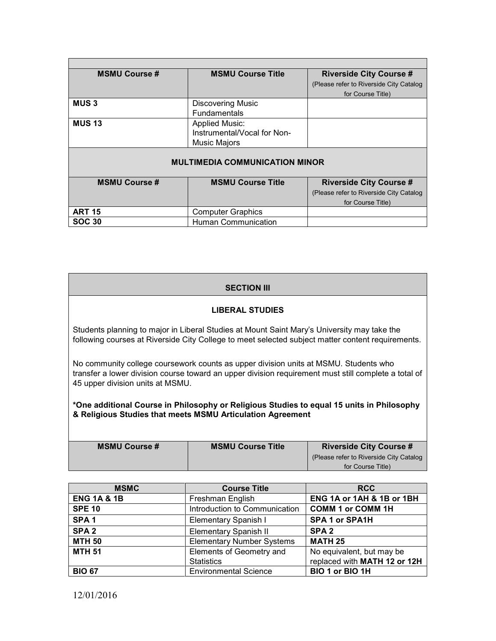| <b>MSMU Course #</b>                  | <b>MSMU Course Title</b>    | <b>Riverside City Course #</b>                   |  |  |
|---------------------------------------|-----------------------------|--------------------------------------------------|--|--|
|                                       |                             | (Please refer to Riverside City Catalog          |  |  |
|                                       |                             | for Course Title)                                |  |  |
| <b>MUS3</b>                           | <b>Discovering Music</b>    |                                                  |  |  |
|                                       | <b>Fundamentals</b>         |                                                  |  |  |
| <b>MUS 13</b>                         | <b>Applied Music:</b>       |                                                  |  |  |
|                                       | Instrumental/Vocal for Non- |                                                  |  |  |
|                                       | Music Majors                |                                                  |  |  |
|                                       |                             |                                                  |  |  |
| <b>MULTIMEDIA COMMUNICATION MINOR</b> |                             |                                                  |  |  |
|                                       |                             |                                                  |  |  |
| <b>MSMU Course #</b>                  | <b>MSMU Course Title</b>    | <b>Riverside City Course #</b>                   |  |  |
|                                       |                             | (Please refer to Riverside City Catalog          |  |  |
|                                       |                             | $\sim$ $\sim$ $\sim$ $\sim$ $\sim$ $\sim$ $\sim$ |  |  |

|               |                     | (Please refer to Riverside City Catalog) |
|---------------|---------------------|------------------------------------------|
|               |                     | for Course Title)                        |
| <b>ART 15</b> | Computer Graphics   |                                          |
| <b>SOC 30</b> | Human Communication |                                          |

# **SECTION III**

### **LIBERAL STUDIES**

Students planning to major in Liberal Studies at Mount Saint Mary's University may take the following courses at Riverside City College to meet selected subject matter content requirements.

No community college coursework counts as upper division units at MSMU. Students who transfer a lower division course toward an upper division requirement must still complete a total of 45 upper division units at MSMU.

**\*One additional Course in Philosophy or Religious Studies to equal 15 units in Philosophy & Religious Studies that meets MSMU Articulation Agreement**

| <b>MSMU Course #</b> | <b>MSMU Course Title</b> | <b>Riverside City Course #</b>          |
|----------------------|--------------------------|-----------------------------------------|
|                      |                          | (Please refer to Riverside City Catalog |
|                      |                          | for Course Title)                       |

| <b>MSMC</b>            | <b>Course Title</b>              | <b>RCC</b>                   |
|------------------------|----------------------------------|------------------------------|
| <b>ENG 1A &amp; 1B</b> | Freshman English                 | ENG 1A or 1AH & 1B or 1BH    |
| <b>SPE 10</b>          | Introduction to Communication    | <b>COMM 1 or COMM 1H</b>     |
| SPA <sub>1</sub>       | Elementary Spanish I             | SPA 1 or SPA1H               |
| SPA <sub>2</sub>       | <b>Elementary Spanish II</b>     | SPA <sub>2</sub>             |
| <b>MTH 50</b>          | <b>Elementary Number Systems</b> | <b>MATH 25</b>               |
| <b>MTH 51</b>          | Elements of Geometry and         | No equivalent, but may be    |
|                        | <b>Statistics</b>                | replaced with MATH 12 or 12H |
| <b>BIO 67</b>          | <b>Environmental Science</b>     | BIO 1 or BIO 1H              |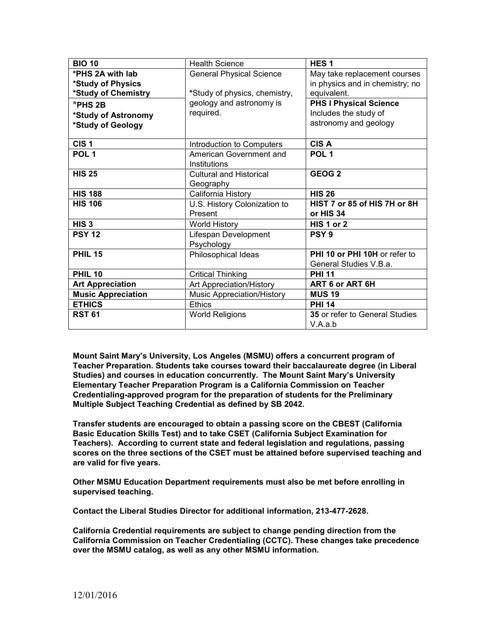| <b>BIO 10</b>                            | <b>Health Science</b>                   | HES <sub>1</sub>                                       |
|------------------------------------------|-----------------------------------------|--------------------------------------------------------|
| *PHS 2A with lab                         | <b>General Physical Science</b>         | May take replacement courses                           |
| *Study of Physics<br>*Study of Chemistry | *Study of physics, chemistry,           | in physics and in chemistry; no<br>equivalent.         |
|                                          | geology and astronomy is                |                                                        |
| *PHS 2B                                  | required.                               | <b>PHS I Physical Science</b><br>Includes the study of |
| *Study of Astronomy                      |                                         | astronomy and geology                                  |
| *Study of Geology                        |                                         |                                                        |
| CIS <sub>1</sub>                         | Introduction to Computers               | <b>CISA</b>                                            |
| POL <sub>1</sub>                         | American Government and<br>Institutions | POL <sub>1</sub>                                       |
| <b>HIS 25</b>                            | <b>Cultural and Historical</b>          | GEOG <sub>2</sub>                                      |
|                                          | Geography                               |                                                        |
| <b>HIS 188</b>                           | California History                      | <b>HIS 26</b>                                          |
| <b>HIS 106</b>                           | U.S. History Colonization to            | HIST 7 or 85 of HIS 7H or 8H                           |
|                                          | Present                                 | or HIS 34                                              |
| HIS <sub>3</sub>                         | <b>World History</b>                    | HIS 1 or 2                                             |
| <b>PSY 12</b>                            | Lifespan Development                    | PSY <sub>9</sub>                                       |
|                                          | Psychology                              |                                                        |
| <b>PHIL 15</b>                           | Philosophical Ideas                     | PHI 10 or PHI 10H or refer to                          |
|                                          |                                         | General Studies V.B.a.                                 |
| <b>PHIL 10</b>                           | <b>Critical Thinking</b>                | <b>PHI 11</b>                                          |
| <b>Art Appreciation</b>                  | Art Appreciation/History                | ART 6 or ART 6H                                        |
| <b>Music Appreciation</b>                | Music Appreciation/History              | <b>MUS 19</b>                                          |
| <b>ETHICS</b>                            | <b>Ethics</b>                           | <b>PHI 14</b>                                          |
| <b>RST 61</b>                            | <b>World Religions</b>                  | 35 or refer to General Studies                         |
|                                          |                                         | V.A.a.b                                                |

**Mount Saint Mary's University, Los Angeles (MSMU) offers a concurrent program of Teacher Preparation. Students take courses toward their baccalaureate degree (in Liberal Studies) and courses in education concurrently. The Mount Saint Mary's University Elementary Teacher Preparation Program is a California Commission on Teacher Credentialing-approved program for the preparation of students for the Preliminary Multiple Subject Teaching Credential as defined by SB 2042.**

**Transfer students are encouraged to obtain a passing score on the CBEST (California Basic Education Skills Test) and to take CSET (California Subject Examination for Teachers). According to current state and federal legislation and regulations, passing scores on the three sections of the CSET must be attained before supervised teaching and are valid for five years.** 

**Other MSMU Education Department requirements must also be met before enrolling in supervised teaching.** 

**Contact the Liberal Studies Director for additional information, 213-477-2628.**

**California Credential requirements are subject to change pending direction from the California Commission on Teacher Credentialing (CCTC). These changes take precedence over the MSMU catalog, as well as any other MSMU information.**